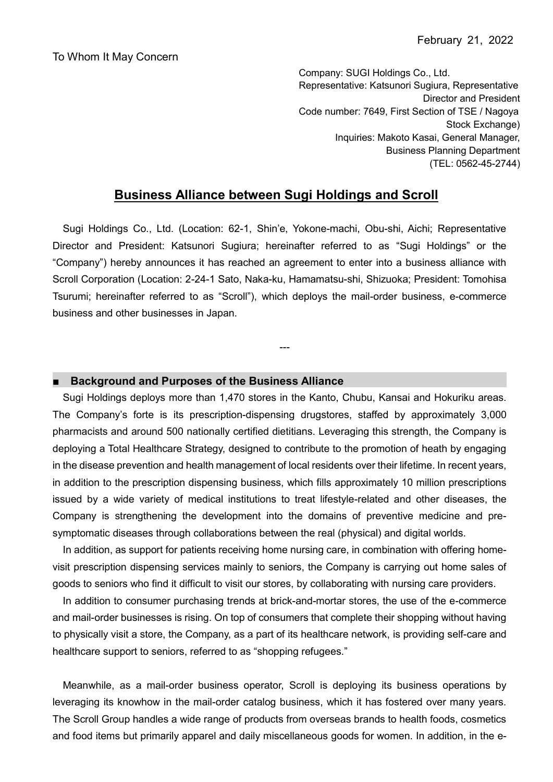Company: SUGI Holdings Co., Ltd. Representative: Katsunori Sugiura, Representative Director and President Code number: 7649, First Section of TSE / Nagoya Stock Exchange) Inquiries: Makoto Kasai, General Manager, Business Planning Department (TEL: 0562-45-2744)

## **Business Alliance between Sugi Holdings and Scroll**

Sugi Holdings Co., Ltd. (Location: 62-1, Shin'e, Yokone-machi, Obu-shi, Aichi; Representative Director and President: Katsunori Sugiura; hereinafter referred to as "Sugi Holdings" or the "Company") hereby announces it has reached an agreement to enter into a business alliance with Scroll Corporation (Location: 2-24-1 Sato, Naka-ku, Hamamatsu-shi, Shizuoka; President: Tomohisa Tsurumi; hereinafter referred to as "Scroll"), which deploys the mail-order business, e-commerce business and other businesses in Japan.

---

## ■ **Background and Purposes of the Business Alliance**

Sugi Holdings deploys more than 1,470 stores in the Kanto, Chubu, Kansai and Hokuriku areas. The Company's forte is its prescription-dispensing drugstores, staffed by approximately 3,000 pharmacists and around 500 nationally certified dietitians. Leveraging this strength, the Company is deploying a Total Healthcare Strategy, designed to contribute to the promotion of heath by engaging in the disease prevention and health management of local residents over their lifetime. In recent years, in addition to the prescription dispensing business, which fills approximately 10 million prescriptions issued by a wide variety of medical institutions to treat lifestyle-related and other diseases, the Company is strengthening the development into the domains of preventive medicine and presymptomatic diseases through collaborations between the real (physical) and digital worlds.

In addition, as support for patients receiving home nursing care, in combination with offering homevisit prescription dispensing services mainly to seniors, the Company is carrying out home sales of goods to seniors who find it difficult to visit our stores, by collaborating with nursing care providers.

In addition to consumer purchasing trends at brick-and-mortar stores, the use of the e-commerce and mail-order businesses is rising. On top of consumers that complete their shopping without having to physically visit a store, the Company, as a part of its healthcare network, is providing self-care and healthcare support to seniors, referred to as "shopping refugees."

Meanwhile, as a mail-order business operator, Scroll is deploying its business operations by leveraging its knowhow in the mail-order catalog business, which it has fostered over many years. The Scroll Group handles a wide range of products from overseas brands to health foods, cosmetics and food items but primarily apparel and daily miscellaneous goods for women. In addition, in the e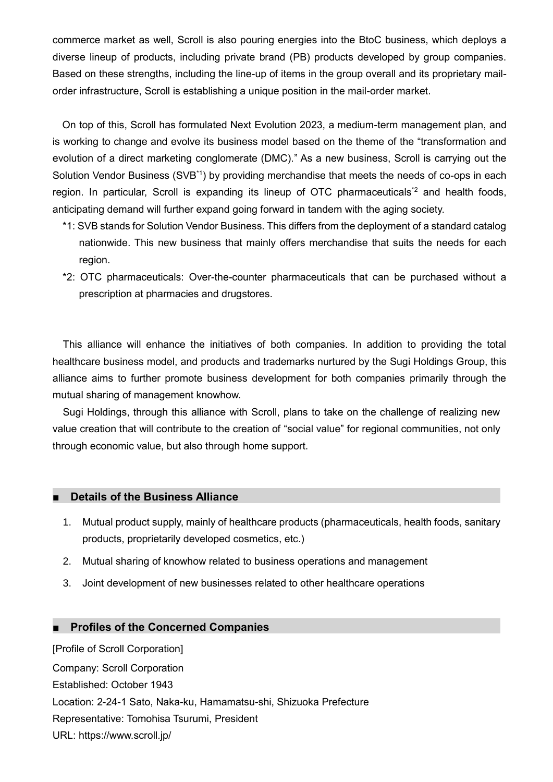commerce market as well, Scroll is also pouring energies into the BtoC business, which deploys a diverse lineup of products, including private brand (PB) products developed by group companies. Based on these strengths, including the line-up of items in the group overall and its proprietary mailorder infrastructure, Scroll is establishing a unique position in the mail-order market.

On top of this, Scroll has formulated Next Evolution 2023, a medium-term management plan, and is working to change and evolve its business model based on the theme of the "transformation and evolution of a direct marketing conglomerate (DMC)." As a new business, Scroll is carrying out the Solution Vendor Business (SVB<sup>\*1</sup>) by providing merchandise that meets the needs of co-ops in each region. In particular, Scroll is expanding its lineup of OTC pharmaceuticals<sup>\*2</sup> and health foods. anticipating demand will further expand going forward in tandem with the aging society.

- \*1: SVB stands for Solution Vendor Business. This differs from the deployment of a standard catalog nationwide. This new business that mainly offers merchandise that suits the needs for each region.
- \*2: OTC pharmaceuticals: Over-the-counter pharmaceuticals that can be purchased without a prescription at pharmacies and drugstores.

This alliance will enhance the initiatives of both companies. In addition to providing the total healthcare business model, and products and trademarks nurtured by the Sugi Holdings Group, this alliance aims to further promote business development for both companies primarily through the mutual sharing of management knowhow.

Sugi Holdings, through this alliance with Scroll, plans to take on the challenge of realizing new value creation that will contribute to the creation of "social value" for regional communities, not only through economic value, but also through home support.

## **■ Details of the Business Alliance**

- 1. Mutual product supply, mainly of healthcare products (pharmaceuticals, health foods, sanitary products, proprietarily developed cosmetics, etc.)
- 2. Mutual sharing of knowhow related to business operations and management
- 3. Joint development of new businesses related to other healthcare operations

## **■ Profiles of the Concerned Companies**

[Profile of Scroll Corporation] Company: Scroll Corporation Established: October 1943 Location: 2-24-1 Sato, Naka-ku, Hamamatsu-shi, Shizuoka Prefecture Representative: Tomohisa Tsurumi, President URL: https://www.scroll.jp/